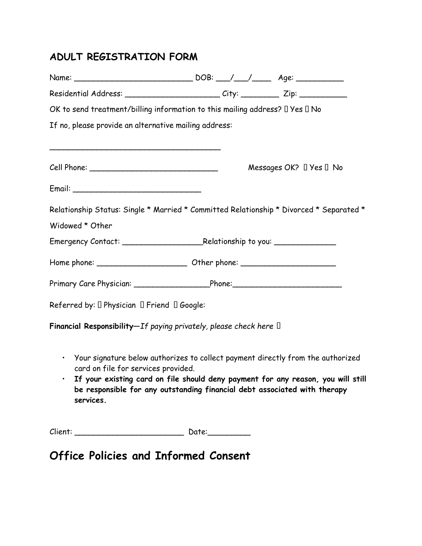## **ADULT REGISTRATION FORM**

| Residential Address: _________________________City: __________ Zip: ____________                                                                                                                                                                                                                                               |  |                                   |  |
|--------------------------------------------------------------------------------------------------------------------------------------------------------------------------------------------------------------------------------------------------------------------------------------------------------------------------------|--|-----------------------------------|--|
| OK to send treatment/billing information to this mailing address? I Yes II No                                                                                                                                                                                                                                                  |  |                                   |  |
| If no, please provide an alternative mailing address:                                                                                                                                                                                                                                                                          |  |                                   |  |
|                                                                                                                                                                                                                                                                                                                                |  |                                   |  |
|                                                                                                                                                                                                                                                                                                                                |  | Messages OK? $\Box$ Yes $\Box$ No |  |
|                                                                                                                                                                                                                                                                                                                                |  |                                   |  |
| Relationship Status: Single * Married * Committed Relationship * Divorced * Separated *                                                                                                                                                                                                                                        |  |                                   |  |
| Widowed * Other                                                                                                                                                                                                                                                                                                                |  |                                   |  |
|                                                                                                                                                                                                                                                                                                                                |  |                                   |  |
|                                                                                                                                                                                                                                                                                                                                |  |                                   |  |
| Primary Care Physician: Phone: Phone: Phone:                                                                                                                                                                                                                                                                                   |  |                                   |  |
| Referred by: $\square$ Physician $\square$ Friend $\square$ Google:                                                                                                                                                                                                                                                            |  |                                   |  |
| Financial Responsibility-If paying privately, please check here $\Box$                                                                                                                                                                                                                                                         |  |                                   |  |
| Your signature below authorizes to collect payment directly from the authorized<br>$\bullet$<br>card on file for services provided.<br>If your existing card on file should deny payment for any reason, you will still<br>$\bullet$<br>be responsible for any outstanding financial debt associated with therapy<br>services. |  |                                   |  |

Client: \_\_\_\_\_\_\_\_\_\_\_\_\_\_\_\_\_\_\_\_\_\_\_ Date:\_\_\_\_\_\_\_\_\_

**Office Policies and Informed Consent**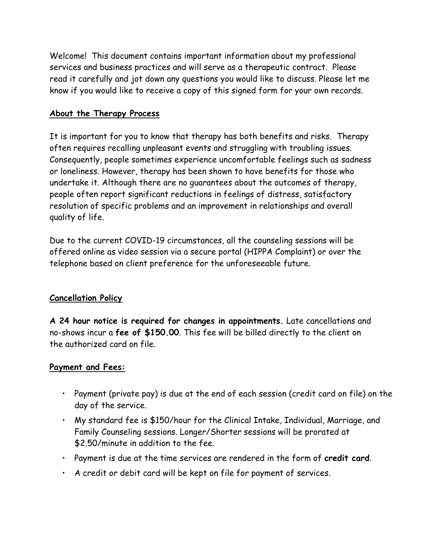Welcome! This document contains important information about my professional services and business practices and will serve as a therapeutic contract. Please read it carefully and jot down any questions you would like to discuss. Please let me know if you would like to receive a copy of this signed form for your own records.

#### **About the Therapy Process**

It is important for you to know that therapy has both benefits and risks. Therapy often requires recalling unpleasant events and struggling with troubling issues. Consequently, people sometimes experience uncomfortable feelings such as sadness or loneliness. However, therapy has been shown to have benefits for those who undertake it. Although there are no guarantees about the outcomes of therapy, people often report significant reductions in feelings of distress, satisfactory resolution of specific problems and an improvement in relationships and overall quality of life.

Due to the current COVID-19 circumstances, all the counseling sessions will be offered online as video session via a secure portal (HIPPA Complaint) or over the telephone based on client preference for the unforeseeable future.

## **Cancellation Policy**

**A 24 hour notice is required for changes in appointments.** Late cancellations and no-shows incur a **fee of \$150.00**. This fee will be billed directly to the client on the authorized card on file.

#### **Payment and Fees:**

- Payment (private pay) is due at the end of each session (credit card on file) on the day of the service.
- My standard fee is \$150/hour for the Clinical Intake, Individual, Marriage, and Family Counseling sessions. Longer/Shorter sessions will be prorated at \$2.50/minute in addition to the fee.
- Payment is due at the time services are rendered in the form of **credit card**.
- A credit or debit card will be kept on file for payment of services.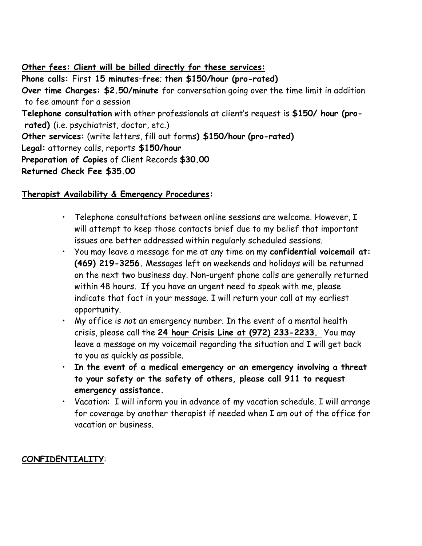**Other fees: Client will be billed directly for these services:**

**Phone calls:** First **15 minutes–free**; **then \$150/hour (pro-rated) Over time Charges: \$2.50/minute** for conversation going over the time limit in addition to fee amount for a session **Telephone consultation** with other professionals at client's request is **\$150/ hour (prorated)** (i.e. psychiatrist, doctor, etc.) **Other services:** (write letters, fill out forms**) \$150/hour (pro-rated) Legal:** attorney calls, reports **\$150/hour Preparation of Copies** of Client Records **\$30.00 Returned Check Fee \$35.00** 

### **Therapist Availability & Emergency Procedures:**

- Telephone consultations between online sessions are welcome. However, I will attempt to keep those contacts brief due to my belief that important issues are better addressed within regularly scheduled sessions.
- You may leave a message for me at any time on my **confidential voicemail at: (469) 219-3256.** Messages left on weekends and holidays will be returned on the next two business day. Non-urgent phone calls are generally returned within 48 hours. If you have an urgent need to speak with me, please indicate that fact in your message. I will return your call at my earliest opportunity.
- My office is *not* an emergency number. In the event of a mental health crisis, please call the **24 hour Crisis Line at (972) 233-2233.** You may leave a message on my voicemail regarding the situation and I will get back to you as quickly as possible.
- **In the event of a medical emergency or an emergency involving a threat to your safety or the safety of others, please call 911 to request emergency assistance.**
- Vacation: I will inform you in advance of my vacation schedule. I will arrange for coverage by another therapist if needed when I am out of the office for vacation or business.

## **CONFIDENTIALITY**: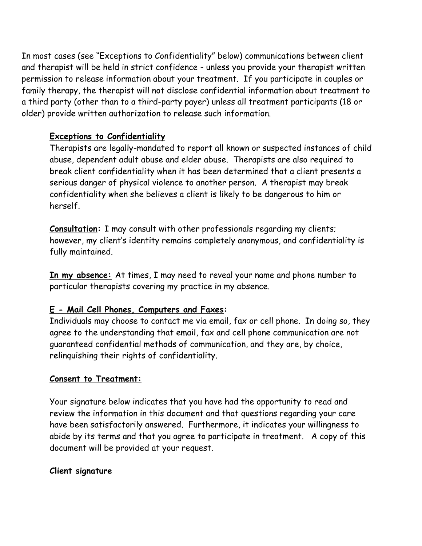In most cases (see "Exceptions to Confidentiality" below) communications between client and therapist will be held in strict confidence - unless you provide your therapist written permission to release information about your treatment. If you participate in couples or family therapy, the therapist will not disclose confidential information about treatment to a third party (other than to a third-party payer) unless all treatment participants (18 or older) provide written authorization to release such information.

#### **Exceptions to Confidentiality**

Therapists are legally-mandated to report all known or suspected instances of child abuse, dependent adult abuse and elder abuse. Therapists are also required to break client confidentiality when it has been determined that a client presents a serious danger of physical violence to another person. A therapist may break confidentiality when she believes a client is likely to be dangerous to him or herself.

**Consultation:** I may consult with other professionals regarding my clients; however, my client's identity remains completely anonymous, and confidentiality is fully maintained.

**In my absence:** At times, I may need to reveal your name and phone number to particular therapists covering my practice in my absence.

#### **E - Mail Cell Phones, Computers and Faxes:**

Individuals may choose to contact me via email, fax or cell phone. In doing so, they agree to the understanding that email, fax and cell phone communication are not guaranteed confidential methods of communication, and they are, by choice, relinquishing their rights of confidentiality.

#### **Consent to Treatment:**

Your signature below indicates that you have had the opportunity to read and review the information in this document and that questions regarding your care have been satisfactorily answered. Furthermore, it indicates your willingness to abide by its terms and that you agree to participate in treatment. A copy of this document will be provided at your request.

#### **Client signature**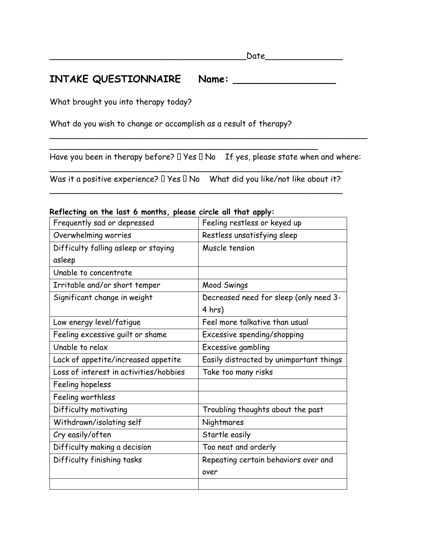## **INTAKE QUESTIONNAIRE Name: \_\_\_\_\_\_\_\_\_\_\_\_\_\_\_\_\_**

What brought you into therapy today?

What do you wish to change or accomplish as a result of therapy?

 $\overline{\phantom{a}}$ 

Have you been in therapy before?  $\Box$  Yes  $\Box$  No If yes, please state when and where:

\_\_\_\_\_\_\_\_\_\_\_\_\_\_\_\_\_\_\_\_\_\_\_\_\_\_\_\_\_\_\_\_\_\_\_\_\_\_\_\_\_\_\_\_\_\_\_\_\_\_\_\_\_\_\_\_\_\_\_\_\_\_\_\_

 $\mathcal{L} = \{ \mathcal{L} \mid \mathcal{L} \in \mathcal{L} \}$ Was it a positive experience?  $\Box$  Yes  $\Box$  No What did you like/not like about it?  $\overline{a}$ 

| $\kappa$ e neching on the tast of nomins, please circle an that apply. |                                         |
|------------------------------------------------------------------------|-----------------------------------------|
| Frequently sad or depressed                                            | Feeling restless or keyed up            |
| Overwhelming worries                                                   | Restless unsatisfying sleep             |
| Difficulty falling asleep or staying                                   | Muscle tension                          |
| asleep                                                                 |                                         |
| Unable to concentrate                                                  |                                         |
| Irritable and/or short temper                                          | Mood Swings                             |
| Significant change in weight                                           | Decreased need for sleep (only need 3-  |
|                                                                        | 4 hrs)                                  |
| Low energy level/fatigue                                               | Feel more talkative than usual          |
| Feeling excessive quilt or shame                                       | Excessive spending/shopping             |
| Unable to relax                                                        | Excessive gambling                      |
| Lack of appetite/increased appetite                                    | Easily distracted by unimportant things |
| Loss of interest in activities/hobbies                                 | Take too many risks                     |
| Feeling hopeless                                                       |                                         |
| Feeling worthless                                                      |                                         |
| Difficulty motivating                                                  | Troubling thoughts about the past       |
| Withdrawn/isolating self                                               | Nightmares                              |
| Cry easily/often                                                       | Startle easily                          |
| Difficulty making a decision                                           | Too neat and orderly                    |
| Difficulty finishing tasks                                             | Repeating certain behaviors over and    |
|                                                                        | over                                    |
|                                                                        |                                         |

#### **Reflecting on the last 6 months, please circle all that apply:**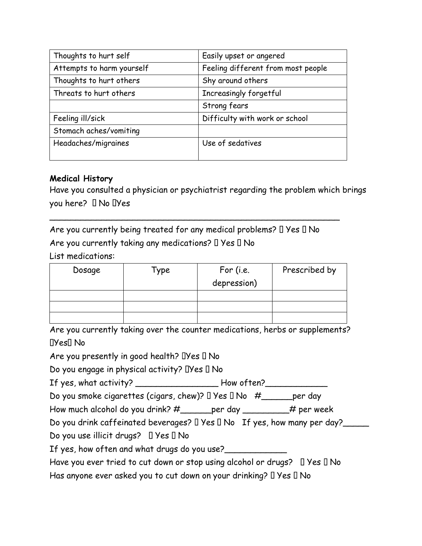| Thoughts to hurt self     | Easily upset or angered            |
|---------------------------|------------------------------------|
| Attempts to harm yourself | Feeling different from most people |
| Thoughts to hurt others   | Shy around others                  |
| Threats to hurt others    | Increasingly forgetful             |
|                           | Strong fears                       |
| Feeling ill/sick          | Difficulty with work or school     |
| Stomach aches/vomiting    |                                    |
| Headaches/migraines       | Use of sedatives                   |
|                           |                                    |

#### **Medical History**

Have you consulted a physician or psychiatrist regarding the problem which brings you here? I No IYes

Are you currently being treated for any medical problems?  $\Box$  Yes  $\Box$  No Are you currently taking any medications?  $\Box$  Yes  $\Box$  No

\_\_\_\_\_\_\_\_\_\_\_\_\_\_\_\_\_\_\_\_\_\_\_\_\_\_\_\_\_\_\_\_\_\_\_\_\_\_\_\_\_\_\_\_\_\_\_\_\_\_\_\_\_\_\_\_

List medications:

| Dosage | Type | For (i.e.<br>depression) | Prescribed by |
|--------|------|--------------------------|---------------|
|        |      |                          |               |
|        |      |                          |               |
|        |      |                          |               |

Are you currently taking over the counter medications, herbs or supplements? DYes<sup>[]</sup> No

Are you presently in good health?  $DYes \Box No$ 

Do you engage in physical activity?  $\Box$ Yes  $\Box$  No

If yes, what activity? \_\_\_\_\_\_\_\_\_\_\_\_\_\_\_\_\_\_\_\_\_\_How often?\_\_\_\_\_\_\_\_\_\_\_\_\_\_\_\_\_\_\_\_\_\_\_\_\_

Do you smoke cigarettes (cigars, chew)?  $\Box$  Yes  $\Box$  No  $\#$  \_\_\_\_\_\_ per day

How much alcohol do you drink? #\_\_\_\_\_per day \_\_\_\_\_\_\_\_# per week

Do you drink caffeinated beverages?  $\Box$  Yes  $\Box$  No If yes, how many per day?

Do you use illicit drugs?  $\Box$  Yes  $\Box$  No

If yes, how often and what drugs do you use?

Have you ever tried to cut down or stop using alcohol or drugs?  $\Box$  Yes  $\Box$  No Has anyone ever asked you to cut down on your drinking?  $\Box$  Yes  $\Box$  No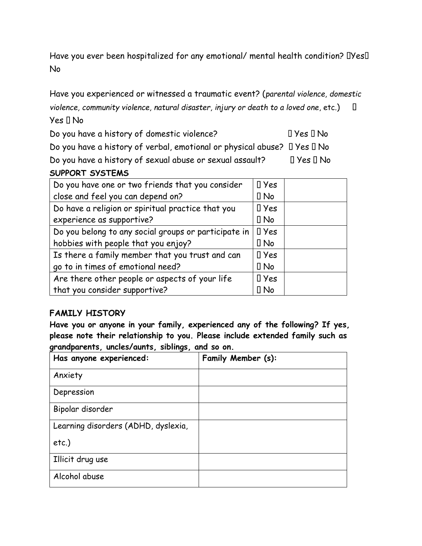Have you ever been hospitalized for any emotional/ mental health condition? IYesI No

Have you experienced or witnessed a traumatic event? (*parental violence, domestic violence, community violence, natural disaster, injury or death to a loved one*, etc.)  $\Box$ 

 $Yes \Pi No$ 

Do you have a history of domestic violence? If yes I No

Do you have a history of verbal, emotional or physical abuse?  $\Box$  Yes  $\Box$  No

Do you have a history of sexual abuse or sexual assault?  $\Box$  Yes  $\Box$  No

| SUPPORT SYSTEMS |
|-----------------|
|                 |

| Do you have one or two friends that you consider     | $\Box$ Yes |
|------------------------------------------------------|------------|
| close and feel you can depend on?                    | $\Box$ No  |
| Do have a religion or spiritual practice that you    | $I$ Yes    |
| experience as supportive?                            | $\Box$ No  |
| Do you belong to any social groups or participate in | $\Box$ Yes |
| hobbies with people that you enjoy?                  | $\Box$ No  |
| Is there a family member that you trust and can      | $I$ Yes    |
| go to in times of emotional need?                    | $\Box$ No  |
| Are there other people or aspects of your life       | $\Box$ Yes |
| that you consider supportive?                        | $\Box$ No  |

## **FAMILY HISTORY**

**Have you or anyone in your family, experienced any of the following? If yes, please note their relationship to you. Please include extended family such as grandparents, uncles/aunts, siblings, and so on.**

| Has anyone experienced:             | Family Member (s): |
|-------------------------------------|--------------------|
| Anxiety                             |                    |
| Depression                          |                    |
| Bipolar disorder                    |                    |
| Learning disorders (ADHD, dyslexia, |                    |
| $etc.$ )                            |                    |
| Illicit drug use                    |                    |
| Alcohol abuse                       |                    |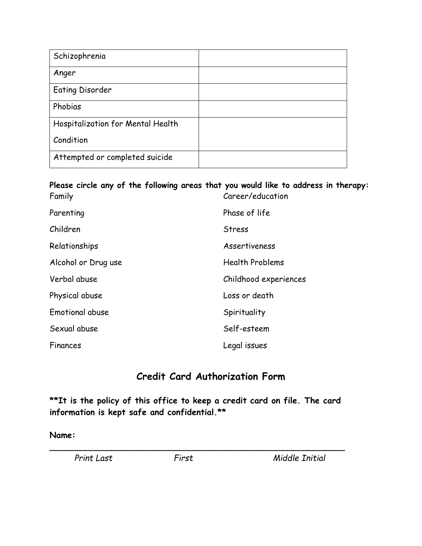| Schizophrenia                     |  |
|-----------------------------------|--|
| Anger                             |  |
| <b>Eating Disorder</b>            |  |
| Phobias                           |  |
| Hospitalization for Mental Health |  |
| Condition                         |  |
| Attempted or completed suicide    |  |

#### **Please circle any of the following areas that you would like to address in therapy:** Family Career/education

| Parenting           | Phase of life          |
|---------------------|------------------------|
| Children            | <b>Stress</b>          |
| Relationships       | <b>Assertiveness</b>   |
| Alcohol or Drug use | <b>Health Problems</b> |
| Verbal abuse        | Childhood experiences  |
| Physical abuse      | Loss or death          |
| Emotional abuse     | Spirituality           |
| Sexual abuse        | Self-esteem            |
| Finances            | Legal issues           |

# **Credit Card Authorization Form**

**\*\*It is the policy of this office to keep a credit card on file. The card information is kept safe and confidential.\*\***

**\_\_\_\_\_\_\_\_\_\_\_\_\_\_\_\_\_\_\_\_\_\_\_\_\_\_\_\_\_\_\_\_\_\_\_\_\_\_\_\_\_\_\_\_\_\_\_\_\_\_\_\_\_\_\_\_\_**

#### **Name:**